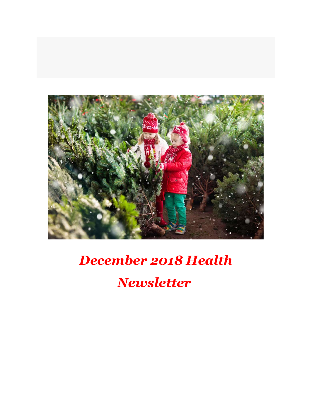

# December 2018 Health

Newsletter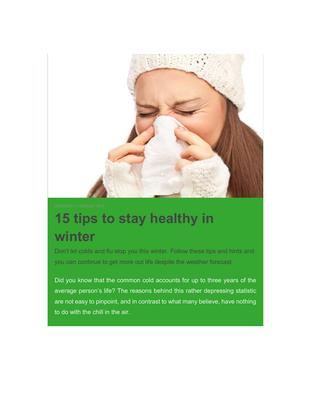

# 15 tips to stay healthy in winter

Don't let colds and flu stop you this winter. Follow these tips and hints and you can continue to get more out life despite the weather forecast.

Did you know that the common cold accounts for up to three years of the average person's life? The reasons behind this rather depressing statistic are not easy to pinpoint, and in contrast to what many believe, have nothing to do with the chill in the air.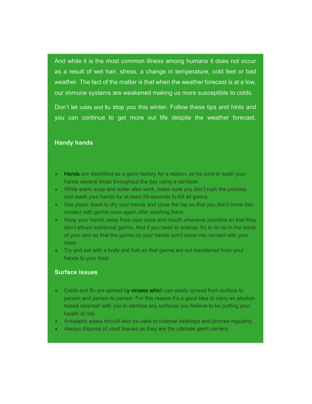And while it is the most common illness among humans it does not occur as a result of wet hair, stress, a change in temperature, cold feet or bad weather. The fact of the matter is that when the weather forecast is at a low, our immune systems are weakened making us more susceptible to colds.

Don't let colds and flu stop you this winter. Follow these tips and hints and you can continue to get more out life despite the weather forecast.

#### Handy hands

- Hands are described as a germ factory for a reason, so be sure to wash your hands several times throughout the day using a sanitizer.
- While warm soap and water also work, make sure you don't rush the process and wash your hands for at least 20-seconds to kill all germs.
- Use paper towel to dry your hands and close the tap so that you don't come into contact with germs once again after washing them.
- Keep your hands away from your nose and mouth wherever possible so that they don't attract additional germs. And if you need to sneeze, try to do so in the crook of your arm so that the germs on your hands don't come into contact with your nose.
- Try and eat with a knife and fork so that germs are not transferred from your hands to your food.

#### Surface issues

- Colds and flu are spread by viruses which can easily spread from surface to person and person to person. For this reason it's a good idea to carry an alcoholbased cleanser with you to sterilise any surfaces you believe to be putting your health at risk.
- Antiseptic wipes should also be used to cleanse desktops and phones regularly.
- Always dispose of used tissues as they are the ultimate germ carriers.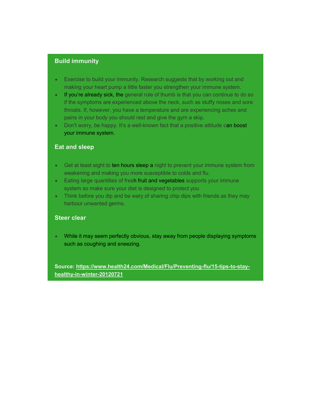#### Build immunity

- Exercise to build your immunity. Research suggests that by working out and making your heart pump a little faster you strengthen your immune system.
- If you're already sick, the general rule of thumb is that you can continue to do so if the symptoms are experienced above the neck, such as stuffy noses and sore throats. If, however, you have a temperature and are experiencing aches and pains in your body you should rest and give the gym a skip.
- Don't worry, be happy. It's a well-known fact that a positive attitude can boost your immune system.

#### Eat and sleep

- Get at least eight to ten hours sleep a night to prevent your immune system from weakening and making you more susceptible to colds and flu.
- Eating large quantities of fresh fruit and vegetables supports your immune system so make sure your diet is designed to protect you
- Think before you dip and be wary of sharing chip dips with friends as they may harbour unwanted germs.

#### Steer clear

 While it may seem perfectly obvious, stay away from people displaying symptoms such as coughing and sneezing.

Source: https://www.health24.com/Medical/Flu/Preventing-flu/15-tips-to-stayhealthy-in-winter-20120721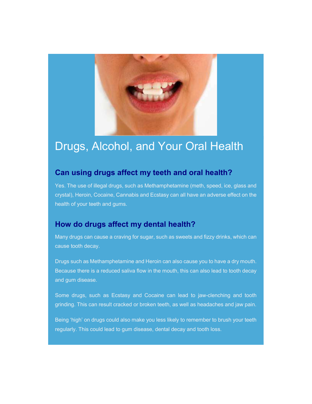

## Drugs, Alcohol, and Your Oral Health

## Can using drugs affect my teeth and oral health?

Yes. The use of illegal drugs, such as Methamphetamine (meth, speed, ice, glass and crystal), Heroin, Cocaine, Cannabis and Ecstasy can all have an adverse effect on the health of your teeth and gums.

## How do drugs affect my dental health?

Many drugs can cause a craving for sugar, such as sweets and fizzy drinks, which can cause tooth decay.

Drugs such as Methamphetamine and Heroin can also cause you to have a dry mouth. Because there is a reduced saliva flow in the mouth, this can also lead to tooth decay and gum disease.

Some drugs, such as Ecstasy and Cocaine can lead to jaw-clenching and tooth grinding. This can result cracked or broken teeth, as well as headaches and jaw pain.

Being 'high' on drugs could also make you less likely to remember to brush your teeth regularly. This could lead to gum disease, dental decay and tooth loss.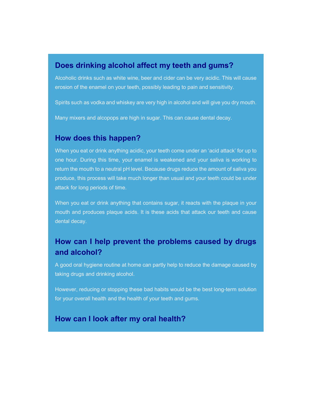### Does drinking alcohol affect my teeth and gums?

Alcoholic drinks such as white wine, beer and cider can be very acidic. This will cause erosion of the enamel on your teeth, possibly leading to pain and sensitivity.

Spirits such as vodka and whiskey are very high in alcohol and will give you dry mouth.

Many mixers and alcopops are high in sugar. This can cause dental decay.

### How does this happen?

When you eat or drink anything acidic, your teeth come under an 'acid attack' for up to one hour. During this time, your enamel is weakened and your saliva is working to return the mouth to a neutral pH level. Because drugs reduce the amount of saliva you produce, this process will take much longer than usual and your teeth could be under attack for long periods of time.

When you eat or drink anything that contains sugar, it reacts with the plaque in your mouth and produces plaque acids. It is these acids that attack our teeth and cause dental decay.

## How can I help prevent the problems caused by drugs and alcohol?

A good oral hygiene routine at home can partly help to reduce the damage caused by taking drugs and drinking alcohol.

However, reducing or stopping these bad habits would be the best long-term solution for your overall health and the health of your teeth and gums.

## How can I look after my oral health?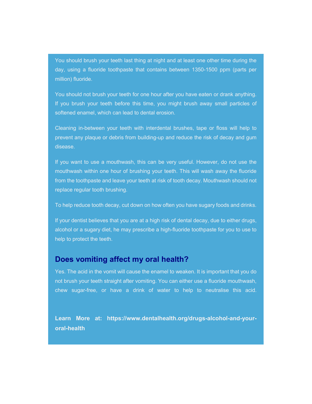You should brush your teeth last thing at night and at least one other time during the day, using a fluoride toothpaste that contains between 1350-1500 ppm (parts per million) fluoride.

You should not brush your teeth for one hour after you have eaten or drank anything. If you brush your teeth before this time, you might brush away small particles of softened enamel, which can lead to dental erosion.

Cleaning in-between your teeth with interdental brushes, tape or floss will help to prevent any plaque or debris from building-up and reduce the risk of decay and gum disease.

If you want to use a mouthwash, this can be very useful. However, do not use the mouthwash within one hour of brushing your teeth. This will wash away the fluoride from the toothpaste and leave your teeth at risk of tooth decay. Mouthwash should not replace regular tooth brushing.

To help reduce tooth decay, cut down on how often you have sugary foods and drinks.

If your dentist believes that you are at a high risk of dental decay, due to either drugs, alcohol or a sugary diet, he may prescribe a high-fluoride toothpaste for you to use to help to protect the teeth.

#### Does vomiting affect my oral health?

Yes. The acid in the vomit will cause the enamel to weaken. It is important that you do not brush your teeth straight after vomiting. You can either use a fluoride mouthwash, chew sugar-free, or have a drink of water to help to neutralise this acid.

Learn More at: https://www.dentalhealth.org/drugs-alcohol-and-youroral-health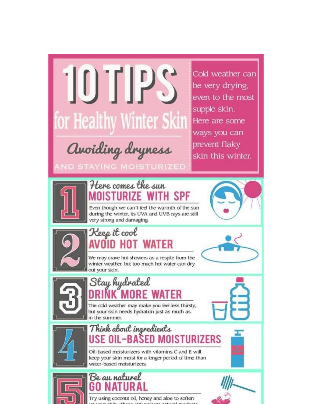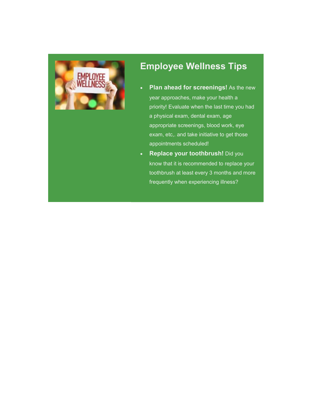

## Employee Wellness Tips

- Plan ahead for screenings! As the new year approaches, make your health a priority! Evaluate when the last time you had a physical exam, dental exam, age appropriate screenings, blood work, eye exam, etc,. and take initiative to get those appointments scheduled!
- Replace your toothbrush! Did you know that it is recommended to replace your toothbrush at least every 3 months and more frequently when experiencing illness?